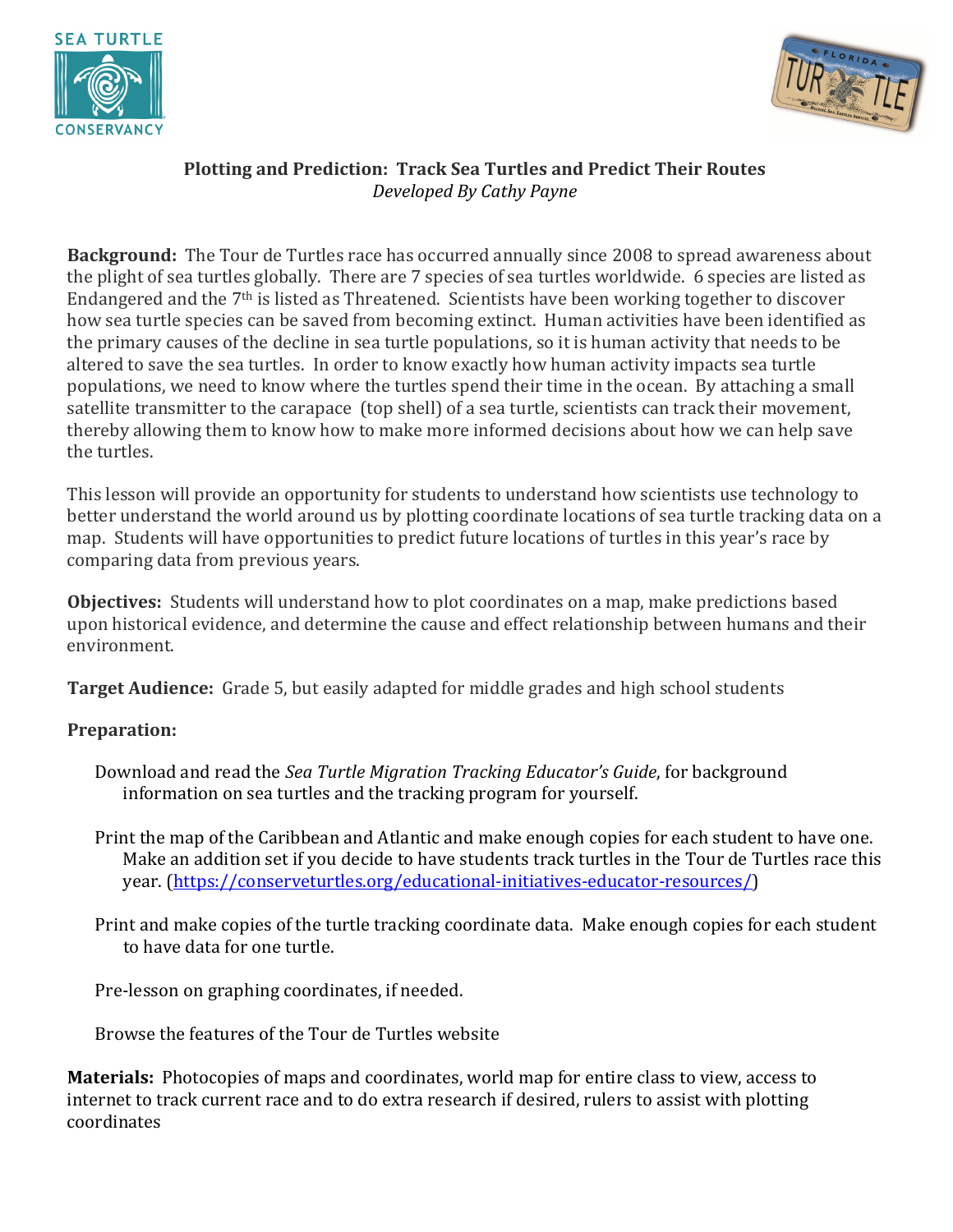



# **Plotting and Prediction: Track Sea Turtles and Predict Their Routes**  *Developed By Cathy Payne*

**Background:** The Tour de Turtles race has occurred annually since 2008 to spread awareness about the plight of sea turtles globally. There are 7 species of sea turtles worldwide. 6 species are listed as Endangered and the 7th is listed as Threatened. Scientists have been working together to discover how sea turtle species can be saved from becoming extinct. Human activities have been identified as the primary causes of the decline in sea turtle populations, so it is human activity that needs to be altered to save the sea turtles. In order to know exactly how human activity impacts sea turtle populations, we need to know where the turtles spend their time in the ocean. By attaching a small satellite transmitter to the carapace (top shell) of a sea turtle, scientists can track their movement, thereby allowing them to know how to make more informed decisions about how we can help save the turtles.

This lesson will provide an opportunity for students to understand how scientists use technology to better understand the world around us by plotting coordinate locations of sea turtle tracking data on a map. Students will have opportunities to predict future locations of turtles in this year's race by comparing data from previous years.

**Objectives:** Students will understand how to plot coordinates on a map, make predictions based upon historical evidence, and determine the cause and effect relationship between humans and their environment.

**Target Audience:** Grade 5, but easily adapted for middle grades and high school students

## **Preparation:**

- Download and read the *Sea Turtle Migration Tracking Educator's Guide*, for background information on sea turtles and the tracking program for yourself.
- Print the map of the Caribbean and Atlantic and make enough copies for each student to have one. Make an addition set if you decide to have students track turtles in the Tour de Turtles race this year. (https://conserveturtles.org/educational-initiatives-educator-resources/)
- Print and make copies of the turtle tracking coordinate data. Make enough copies for each student to have data for one turtle.

Pre-lesson on graphing coordinates, if needed.

Browse the features of the Tour de Turtles website

**Materials:** Photocopies of maps and coordinates, world map for entire class to view, access to internet to track current race and to do extra research if desired, rulers to assist with plotting coordinates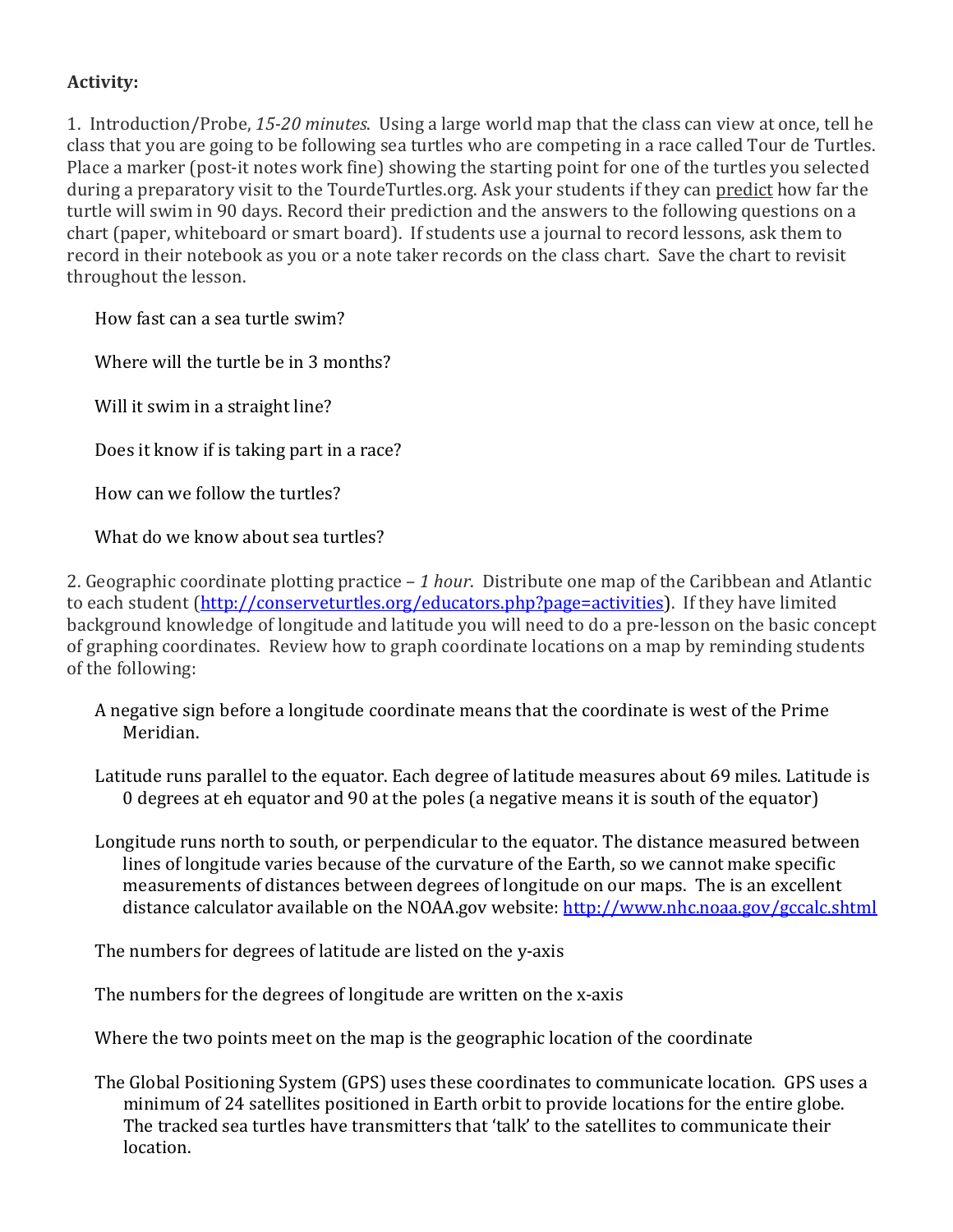# **Activity:**

1. Introduction/Probe, *15-20 minutes*. Using a large world map that the class can view at once, tell he class that you are going to be following sea turtles who are competing in a race called Tour de Turtles. Place a marker (post-it notes work fine) showing the starting point for one of the turtles you selected during a preparatory visit to the TourdeTurtles.org. Ask your students if they can predict how far the turtle will swim in 90 days. Record their prediction and the answers to the following questions on a chart (paper, whiteboard or smart board). If students use a journal to record lessons, ask them to record in their notebook as you or a note taker records on the class chart. Save the chart to revisit throughout the lesson.

How fast can a sea turtle swim?

Where will the turtle be in 3 months?

Will it swim in a straight line?

Does it know if is taking part in a race?

How can we follow the turtles?

What do we know about sea turtles?

2. Geographic coordinate plotting practice – *1 hour*. Distribute one map of the Caribbean and Atlantic to each student (http://conserveturtles.org/educators.php?page=activities). If they have limited background knowledge of longitude and latitude you will need to do a pre-lesson on the basic concept of graphing coordinates. Review how to graph coordinate locations on a map by reminding students of the following:

- A negative sign before a longitude coordinate means that the coordinate is west of the Prime Meridian.
- Latitude runs parallel to the equator. Each degree of latitude measures about 69 miles. Latitude is 0 degrees at eh equator and 90 at the poles (a negative means it is south of the equator)
- Longitude runs north to south, or perpendicular to the equator. The distance measured between lines of longitude varies because of the curvature of the Earth, so we cannot make specific measurements of distances between degrees of longitude on our maps. The is an excellent distance calculator available on the NOAA.gov website: http://www.nhc.noaa.gov/gccalc.shtml

The numbers for degrees of latitude are listed on the y-axis

The numbers for the degrees of longitude are written on the x-axis

Where the two points meet on the map is the geographic location of the coordinate

The Global Positioning System (GPS) uses these coordinates to communicate location. GPS uses a minimum of 24 satellites positioned in Earth orbit to provide locations for the entire globe. The tracked sea turtles have transmitters that 'talk' to the satellites to communicate their location.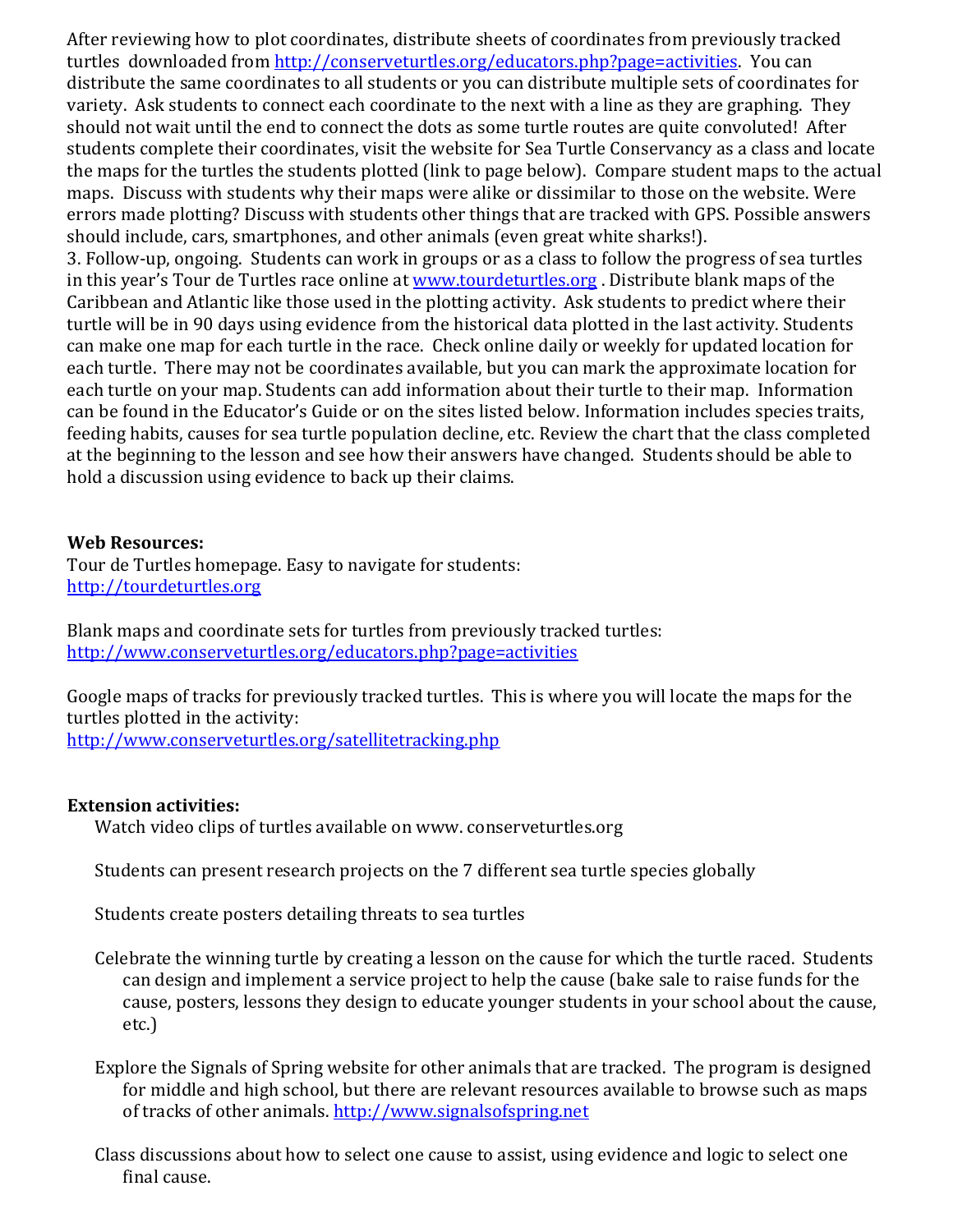After reviewing how to plot coordinates, distribute sheets of coordinates from previously tracked turtles downloaded from http://conserveturtles.org/educators.php?page=activities. You can distribute the same coordinates to all students or you can distribute multiple sets of coordinates for variety. Ask students to connect each coordinate to the next with a line as they are graphing. They should not wait until the end to connect the dots as some turtle routes are quite convoluted! After students complete their coordinates, visit the website for Sea Turtle Conservancy as a class and locate the maps for the turtles the students plotted (link to page below). Compare student maps to the actual maps. Discuss with students why their maps were alike or dissimilar to those on the website. Were errors made plotting? Discuss with students other things that are tracked with GPS. Possible answers should include, cars, smartphones, and other animals (even great white sharks!). 3. Follow-up, ongoing. Students can work in groups or as a class to follow the progress of sea turtles

in this year's Tour de Turtles race online at www.tourdeturtles.org . Distribute blank maps of the Caribbean and Atlantic like those used in the plotting activity. Ask students to predict where their turtle will be in 90 days using evidence from the historical data plotted in the last activity. Students can make one map for each turtle in the race. Check online daily or weekly for updated location for each turtle. There may not be coordinates available, but you can mark the approximate location for each turtle on your map. Students can add information about their turtle to their map. Information can be found in the Educator's Guide or on the sites listed below. Information includes species traits, feeding habits, causes for sea turtle population decline, etc. Review the chart that the class completed at the beginning to the lesson and see how their answers have changed. Students should be able to hold a discussion using evidence to back up their claims.

#### **Web Resources:**

Tour de Turtles homepage. Easy to navigate for students: http://tourdeturtles.org

Blank maps and coordinate sets for turtles from previously tracked turtles: http://www.conserveturtles.org/educators.php?page=activities

Google maps of tracks for previously tracked turtles. This is where you will locate the maps for the turtles plotted in the activity:

http://www.conserveturtles.org/satellitetracking.php

## **Extension activities:**

Watch video clips of turtles available on www. conserveturtles.org

Students can present research projects on the 7 different sea turtle species globally

Students create posters detailing threats to sea turtles

- Celebrate the winning turtle by creating a lesson on the cause for which the turtle raced. Students can design and implement a service project to help the cause (bake sale to raise funds for the cause, posters, lessons they design to educate younger students in your school about the cause, etc.)
- Explore the Signals of Spring website for other animals that are tracked. The program is designed for middle and high school, but there are relevant resources available to browse such as maps of tracks of other animals. http://www.signalsofspring.net
- Class discussions about how to select one cause to assist, using evidence and logic to select one final cause.